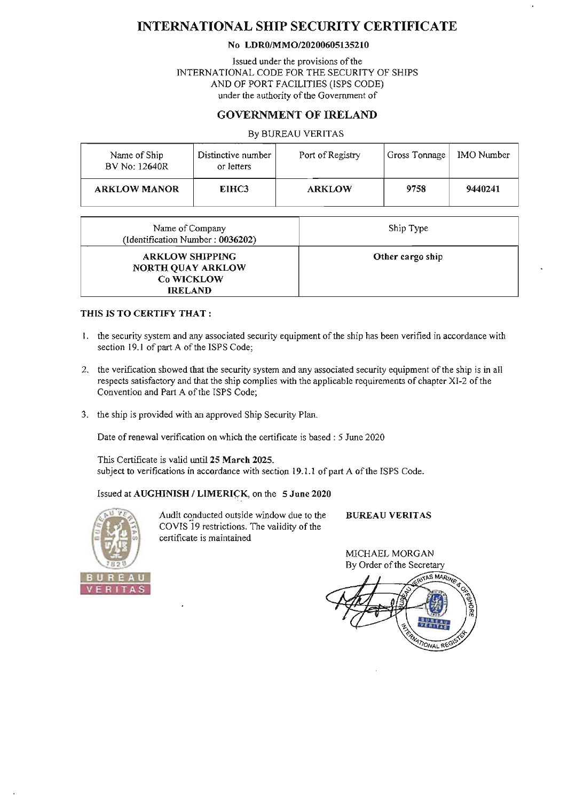# INTERNATIONAL SHIP SECURITY CERTIFICATE

#### No LDRO/MM0120200605135210

Issued under the provisions of the INTERNATIONAL CODE FOR THE SECURITY OF SHIPS AND OF PORT FACILITIES (ISPS CODE) under the authority of the Government of

### GOVERNMENT OF IRELAND

#### By BUREAU VERITAS

| Name of Ship<br>BV No: 12640R | Distinctive number<br>or letters | Port of Registry | Gross Tonnage | <b>IMO</b> Number |
|-------------------------------|----------------------------------|------------------|---------------|-------------------|
| <b>ARKLOW MANOR</b>           | EIHC <sub>3</sub>                | <b>ARKLOW</b>    | 9758          | 9440241           |

| Name of Company<br>(Identification Number: 0036202)                         | Ship Type        |
|-----------------------------------------------------------------------------|------------------|
| <b>ARKLOW SHIPPING</b><br>NORTH QUAY ARKLOW<br>Co WICKLOW<br><b>IRELAND</b> | Other cargo ship |

#### THIS IS TO CERTIFY THAT:

- I. the security system and any associated security equipment of the ship has been verified in accordance with section 19.1 of part A of the ISPS Code;
- 2. the verification showed that the security system and any associated security equipment of the ship is in all respects satisfactory and that the ship complies with the applicable requirements of chapter XI-2 of the Convention and Part A of the ISPS Code;
- 3. the ship is provided with an approved Ship Security Plan.

Date of renewal verification on which the certificate is based: 5 June 2020

This Certificate is valid until 25 March 2025. subject to verifications in accordance with section 19.1.1 of part A of the ISPS Code.

#### Issued at AUGHINISH / LIMERICK, on the 5 June 2020



Audit conducted outside window due to the COYIS 19 restrictions. The validity of the certificate is maintained

BUREAU YERITAS

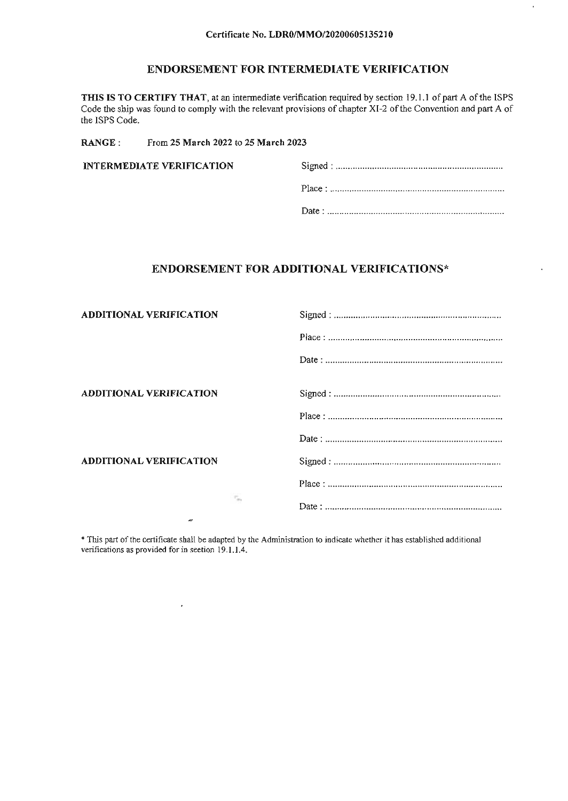$\frac{1}{\sqrt{2}}$ 

 $\ddot{\phantom{a}}$ 

### ENDORSEMENT FOR INTERMEDIATE VERIFICATION

THIS IS TO CERTIFY THAT, at an intennediate verification required by section 19.1.1 of part A of the ISPS Code the ship was found to comply with the relevant provisions of chapter XI-2 of the Convention and part A of the ISPS Code.

RANGE: From 25 March 2022 to 25 March 2023

 $\hat{\boldsymbol{\epsilon}}$ 

| <b>INTERMEDIATE VERIFICATION</b> |  |
|----------------------------------|--|
|                                  |  |
|                                  |  |

### ENDORSEMENT FOR ADDITIONAL VERIFICA TIONS\*

| <b>ADDITIONAL VERIFICATION</b> |    |  |
|--------------------------------|----|--|
|                                |    |  |
|                                |    |  |
| <b>ADDITIONAL VERIFICATION</b> |    |  |
|                                |    |  |
|                                |    |  |
| <b>ADDITIONAL VERIFICATION</b> |    |  |
|                                |    |  |
| $\tilde{ }$                    | n, |  |

\* This part of the certificate shall be adapted by the Administration to indicate whether it has established additional verifications as provided for in section 19.1.1.4.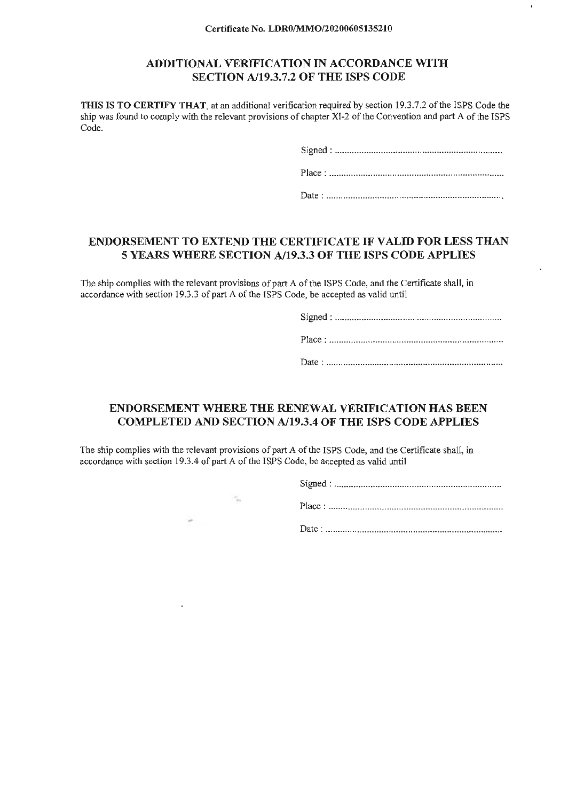### ADDITIONAL VERIFICATION IN ACCORDANCE WITH SECTION *A119.3.7.2* OF THE ISPS CODE

THIS IS TO CERTIFY THAT, at an additional verification required by section 19.3.7.2 of the ISPS Code the ship was found to comply with the relevant provisions of chapter XI-2 of the Convention and part A of the ISPS Code.

Signed: .................................................................... .

Place : ....................................................................... .

Date : ........................................................................ .

### ENDORSEMENT TO EXTEND THE CERTIFICATE IF VALID FOR LESS THAN 5 YEARS WHERE SECTION *A119.3.3* OF THE ISPS CODE APPLIES

The ship complies with the relevant provisions of part A of the ISPS Code, and the Certificate shall, in accordance with section 19.3.3 of part A of the ISPS Code, be accepted as valid until

> Signed: .................................................................... . Place : ....................................................................... .

> Date : ........................................................................ .

# ENDORSEMENT WHERE THE RENEWAL VERIFICATION HAS BEEN COMPLETED AND SECTION *A119.3.4* OF THE ISPS CODE APPLIES

The ship complies with the relevant provisions of part A of the ISPS Code, and the Certificate shall, in accordance with section 19.3.4 of part A of the ISPS Code, be accepted as valid until

 $\ddot{\phantom{0}}$ 

| c. |  |  |  |
|----|--|--|--|
|    |  |  |  |